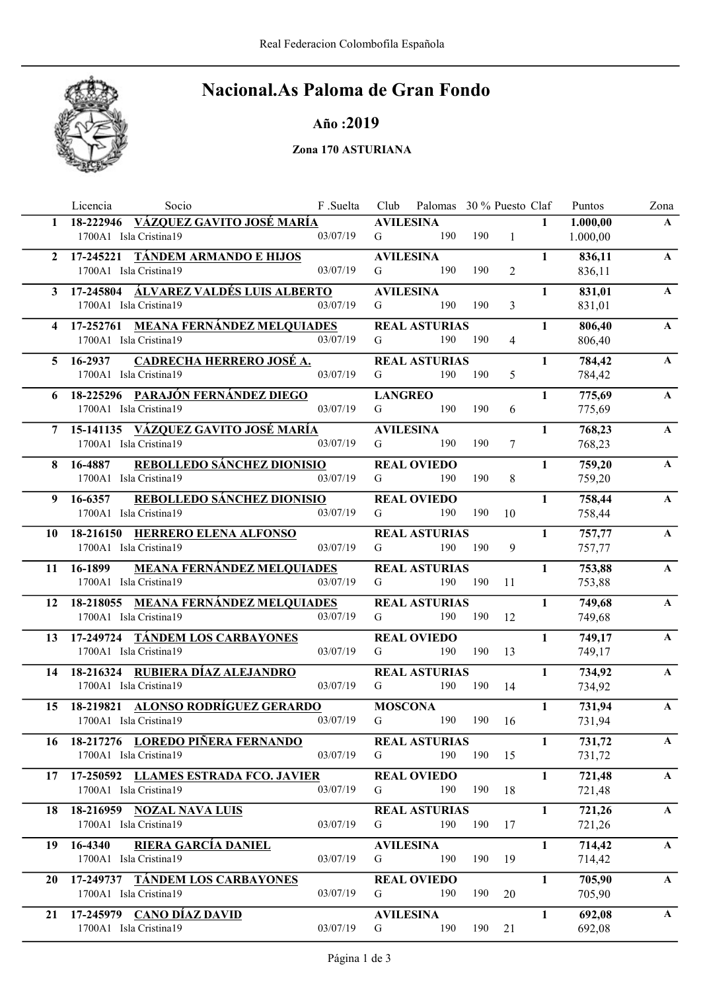

# Nacional.As Paloma de Gran Fondo

## Año :2019

#### Zona 170 ASTURIANA

|                | Licencia<br>Socio                                                      | F .Suelta | Club             | Palomas 30 % Puesto Claf    |     |                |              | Puntos           | Zona         |
|----------------|------------------------------------------------------------------------|-----------|------------------|-----------------------------|-----|----------------|--------------|------------------|--------------|
| $\mathbf{1}$   | <u>VÁZQUEZ GAVITO JOSÉ MARÍA</u><br>18-222946                          |           | <b>AVILESINA</b> |                             |     |                | $\mathbf{1}$ | 1.000,00         | $\mathbf{A}$ |
|                | 1700A1 Isla Cristina19                                                 | 03/07/19  | G                | 190                         | 190 | $\mathbf{1}$   |              | 1.000,00         |              |
| $\overline{2}$ | 17-245221 TÁNDEM ARMANDO E HIJOS                                       |           | <b>AVILESINA</b> |                             |     |                | $\mathbf{1}$ | 836,11           | $\mathbf{A}$ |
|                | 1700A1 Isla Cristina19                                                 | 03/07/19  | G                | 190                         | 190 | 2              |              | 836,11           |              |
| 3              | 17-245804 ÁLVAREZ VALDÉS LUIS ALBERTO                                  |           | <b>AVILESINA</b> |                             |     |                | $\mathbf{1}$ | 831,01           | $\mathbf{A}$ |
|                | 1700A1 Isla Cristina19                                                 | 03/07/19  | G                | 190                         | 190 | 3              |              | 831,01           |              |
| 4              | 17-252761 MEANA FERNÁNDEZ MELQUIADES                                   |           |                  | <b>REAL ASTURIAS</b>        |     |                | $\mathbf{1}$ | 806,40           | $\mathbf{A}$ |
|                | 1700A1 Isla Cristina19                                                 | 03/07/19  | G                | 190                         | 190 | $\overline{4}$ |              | 806,40           |              |
| 5              | <b>CADRECHA HERRERO JOSÉ A.</b><br>16-2937                             |           |                  | <b>REAL ASTURIAS</b>        |     |                | $\mathbf{1}$ | 784,42           | $\mathbf{A}$ |
|                | 1700A1 Isla Cristina19                                                 | 03/07/19  | G                | 190                         | 190 | 5              |              | 784,42           |              |
| 6              | 18-225296 PARAJÓN FERNÁNDEZ DIEGO                                      |           | <b>LANGREO</b>   |                             |     |                | $\mathbf{1}$ | 775,69           | $\mathbf{A}$ |
|                | 1700A1 Isla Cristina19                                                 | 03/07/19  | G                | 190                         | 190 | 6              |              | 775,69           |              |
|                | 15-141135 VÁZQUEZ GAVITO JOSÉ MARÍA                                    |           | <b>AVILESINA</b> |                             |     |                | $\mathbf{1}$ | 768,23           | $\mathbf{A}$ |
|                | 1700A1 Isla Cristina19                                                 | 03/07/19  | G                | 190                         | 190 | 7              |              | 768,23           |              |
| 8              | <b>REBOLLEDO SÁNCHEZ DIONISIO</b><br>16-4887                           |           |                  | <b>REAL OVIEDO</b>          |     |                | $\mathbf{1}$ | 759,20           | $\mathbf{A}$ |
|                | 1700A1 Isla Cristina19                                                 | 03/07/19  | G                | 190                         | 190 | 8              |              | 759,20           |              |
| 9              | REBOLLEDO SÁNCHEZ DIONISIO<br>16-6357                                  |           |                  | <b>REAL OVIEDO</b>          |     |                | $\mathbf{1}$ | 758,44           | $\mathbf{A}$ |
|                | 1700A1 Isla Cristina19                                                 | 03/07/19  | G                | 190                         | 190 | 10             |              | 758,44           |              |
| 10             | 18-216150 HERRERO ELENA ALFONSO                                        |           |                  | <b>REAL ASTURIAS</b>        |     |                | $\mathbf{1}$ | 757,77           | $\mathbf{A}$ |
|                | 1700A1 Isla Cristina19                                                 | 03/07/19  | G                | 190                         | 190 | 9              |              | 757,77           |              |
|                |                                                                        |           |                  |                             |     |                |              |                  |              |
| 11             | <b>MEANA FERNÁNDEZ MELQUIADES</b><br>16-1899<br>1700A1 Isla Cristina19 | 03/07/19  | G                | <b>REAL ASTURIAS</b><br>190 | 190 | 11             | $\mathbf{1}$ | 753,88<br>753,88 | $\mathbf{A}$ |
|                |                                                                        |           |                  |                             |     |                |              |                  |              |
| 12             | 18-218055 MEANA FERNÁNDEZ MELQUIADES<br>1700A1 Isla Cristina19         | 03/07/19  | G                | <b>REAL ASTURIAS</b><br>190 | 190 | 12             | $\mathbf{1}$ | 749,68<br>749,68 | $\mathbf{A}$ |
|                |                                                                        |           |                  |                             |     |                |              |                  |              |
| 13             | 17-249724 TÁNDEM LOS CARBAYONES                                        |           |                  | <b>REAL OVIEDO</b>          |     |                | 1            | 749,17           | $\mathbf{A}$ |
|                | 1700A1 Isla Cristina19                                                 | 03/07/19  | G                | 190                         | 190 | 13             |              | 749,17           |              |
| 14             | 18-216324 RUBIERA DÍAZ ALEJANDRO                                       |           |                  | <b>REAL ASTURIAS</b>        |     |                | $\mathbf{1}$ | 734,92           | $\mathbf{A}$ |
|                | 1700A1 Isla Cristina19                                                 | 03/07/19  | G                | 190                         | 190 | 14             |              | 734,92           |              |
| 15             | 18-219821 ALONSO RODRÍGUEZ GERARDO                                     |           | <b>MOSCONA</b>   |                             |     |                | $\mathbf{1}$ | 731,94           | $\mathbf A$  |
|                | 1700A1 Isla Cristina19                                                 | 03/07/19  | G                | 190                         | 190 | 16             |              | 731,94           |              |
| 16             | 18-217276 LOREDO PIÑERA FERNANDO                                       |           |                  | <b>REAL ASTURIAS</b>        |     |                | $\mathbf{1}$ | 731,72           | $\mathbf{A}$ |
|                | 1700A1 Isla Cristina19                                                 | 03/07/19  | G                | 190                         | 190 | 15             |              | 731,72           |              |
| 17             | 17-250592 LLAMES ESTRADA FCO. JAVIER                                   |           |                  | <b>REAL OVIEDO</b>          |     |                | $\mathbf{1}$ | 721,48           | $\mathbf{A}$ |
|                | 1700A1 Isla Cristina19                                                 | 03/07/19  | G                | 190                         | 190 | 18             |              | 721,48           |              |
| 18             | 18-216959 NOZAL NAVA LUIS                                              |           |                  | <b>REAL ASTURIAS</b>        |     |                | $\mathbf{1}$ | 721,26           | $\mathbf{A}$ |
|                | 1700A1 Isla Cristina19                                                 | 03/07/19  | G                | 190                         | 190 | 17             |              | 721,26           |              |
| 19             | <b>RIERA GARCÍA DANIEL</b><br>16-4340                                  |           | <b>AVILESINA</b> |                             |     |                | $\mathbf{1}$ | 714,42           | $\mathbf{A}$ |
|                | 1700A1 Isla Cristina19                                                 | 03/07/19  | G                | 190                         | 190 | 19             |              | 714,42           |              |
| 20             | 17-249737 TÁNDEM LOS CARBAYONES                                        |           |                  | <b>REAL OVIEDO</b>          |     |                | $\mathbf{1}$ | 705,90           | $\mathbf{A}$ |
|                | 1700A1 Isla Cristina19                                                 | 03/07/19  | G                | 190                         | 190 | 20             |              | 705,90           |              |
| 21             | 17-245979 CANO DÍAZ DAVID                                              |           | <b>AVILESINA</b> |                             |     |                | $\mathbf{1}$ | 692,08           | $\mathbf{A}$ |
|                | 1700A1 Isla Cristina19                                                 | 03/07/19  | G                | 190                         | 190 | 21             |              | 692,08           |              |
|                |                                                                        |           |                  |                             |     |                |              |                  |              |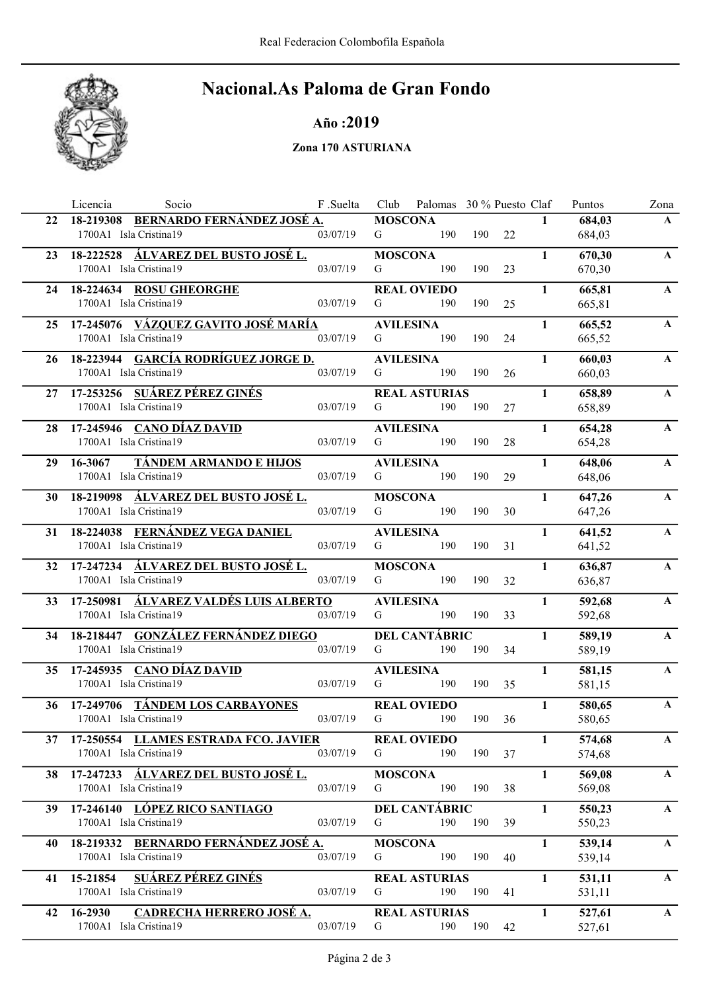

# Nacional.As Paloma de Gran Fondo

### Año :2019

### Zona 170 ASTURIANA

|    | Socio<br>Licencia                                                 | F .Suelta |                       | Club Palomas 30 % Puesto Claf |     |    |              | Puntos           | Zona         |
|----|-------------------------------------------------------------------|-----------|-----------------------|-------------------------------|-----|----|--------------|------------------|--------------|
| 22 | 18-219308 BERNARDO FERNÁNDEZ JOSÉ A.                              |           | <b>MOSCONA</b>        |                               |     |    | $\mathbf{1}$ | 684,03           | $\mathbf{A}$ |
|    | 1700A1 Isla Cristina19                                            | 03/07/19  | G                     | 190                           | 190 | 22 |              | 684,03           |              |
| 23 | 18-222528 ÁLVAREZ DEL BUSTO JOSÉ L.                               |           | <b>MOSCONA</b>        |                               |     |    | $\mathbf{1}$ | 670,30           | $\mathbf{A}$ |
|    | 1700A1 Isla Cristina19                                            | 03/07/19  | G                     | 190                           | 190 | 23 |              | 670,30           |              |
| 24 | 18-224634 ROSU GHEORGHE                                           |           |                       | <b>REAL OVIEDO</b>            |     |    | $\mathbf{1}$ | 665,81           | $\mathbf{A}$ |
|    | 1700A1 Isla Cristina19                                            | 03/07/19  | G                     | 190                           | 190 | 25 |              | 665,81           |              |
|    | 25 17-245076 VÁZQUEZ GAVITO JOSÉ MARÍA                            |           | <b>AVILESINA</b>      |                               |     |    | $\mathbf{1}$ | 665,52           | $\mathbf{A}$ |
|    | 1700A1 Isla Cristina19                                            | 03/07/19  | G                     | 190                           | 190 | 24 |              | 665,52           |              |
| 26 | 18-223944 GARCÍA RODRÍGUEZ JORGE D.                               |           | <b>AVILESINA</b>      |                               |     |    | $\mathbf{1}$ | 660,03           | $\mathbf{A}$ |
|    | 1700A1 Isla Cristina19                                            | 03/07/19  | G                     | 190                           | 190 | 26 |              | 660,03           |              |
|    | 17-253256 SUÁREZ PÉREZ GINÉS                                      |           |                       |                               |     |    | $\mathbf{1}$ |                  | $\mathbf{A}$ |
| 27 | 1700A1 Isla Cristina19                                            | 03/07/19  | G                     | <b>REAL ASTURIAS</b><br>190   | 190 | 27 |              | 658,89<br>658,89 |              |
|    |                                                                   |           |                       |                               |     |    |              |                  |              |
| 28 | 17-245946 CANO DÍAZ DAVID<br>1700A1 Isla Cristina19               | 03/07/19  | <b>AVILESINA</b><br>G | 190                           | 190 | 28 | $\mathbf{1}$ | 654,28           | $\mathbf{A}$ |
|    |                                                                   |           |                       |                               |     |    |              | 654,28           |              |
| 29 | <b>TÁNDEM ARMANDO E HIJOS</b><br>16-3067                          |           | <b>AVILESINA</b>      |                               |     |    | $\mathbf{1}$ | 648,06           | $\mathbf{A}$ |
|    | 1700A1 Isla Cristina19                                            | 03/07/19  | G                     | 190                           | 190 | 29 |              | 648,06           |              |
| 30 | 18-219098 ÁLVAREZ DEL BUSTO JOSÉ L.                               |           | <b>MOSCONA</b>        |                               |     |    | $\mathbf{1}$ | 647,26           | $\mathbf{A}$ |
|    | 1700A1 Isla Cristina19                                            | 03/07/19  | G                     | 190                           | 190 | 30 |              | 647,26           |              |
|    | 31 18-224038 FERNÁNDEZ VEGA DANIEL                                |           | <b>AVILESINA</b>      |                               |     |    | $\mathbf{1}$ | 641,52           | $\mathbf{A}$ |
|    | 1700A1 Isla Cristina19                                            | 03/07/19  | G                     | 190                           | 190 | 31 |              | 641,52           |              |
|    | 32 17-247234 ÁLVAREZ DEL BUSTO JOSÉ L.                            |           | <b>MOSCONA</b>        |                               |     |    | $\mathbf{1}$ | 636,87           | $\mathbf{A}$ |
|    | 1700A1 Isla Cristina19                                            | 03/07/19  | G                     | 190                           | 190 | 32 |              | 636,87           |              |
| 33 | 17-250981 <u>ÁLVAREZ VALDÉS LUIS ALBERTO</u>                      |           | <b>AVILESINA</b>      |                               |     |    | 1            | 592,68           | $\mathbf{A}$ |
|    | 1700A1 Isla Cristina19                                            | 03/07/19  | G                     | 190                           | 190 | 33 |              | 592,68           |              |
| 34 | 18-218447 GONZÁLEZ FERNÁNDEZ DIEGO                                |           |                       | <b>DEL CANTÁBRIC</b>          |     |    | $\mathbf{1}$ | 589,19           | $\mathbf{A}$ |
|    | 1700A1 Isla Cristina19                                            | 03/07/19  | G                     | 190                           | 190 | 34 |              | 589,19           |              |
| 35 | 17-245935 CANO DÍAZ DAVID                                         |           | <b>AVILESINA</b>      |                               |     |    | $\mathbf{1}$ | 581,15           | $\mathbf{A}$ |
|    | 1700A1 Isla Cristina19                                            | 03/07/19  | G                     | 190                           | 190 | 35 |              | 581,15           |              |
|    | 17-249706 TÁNDEM LOS CARBAYONES                                   |           |                       | <b>REAL OVIEDO</b>            |     |    | $\mathbf{1}$ | 580,65           | $\mathbf{A}$ |
| 36 | 1700A1 Isla Cristina19                                            | 03/07/19  | G                     | 190                           | 190 | 36 |              | 580,65           |              |
|    |                                                                   |           |                       |                               |     |    |              |                  |              |
|    | 37 17-250554 LLAMES ESTRADA FCO. JAVIER<br>1700A1 Isla Cristina19 | 03/07/19  | G                     | <b>REAL OVIEDO</b><br>190     | 190 | 37 | $\mathbf{1}$ | 574,68<br>574,68 | $\mathbf{A}$ |
|    |                                                                   |           |                       |                               |     |    |              |                  |              |
| 38 | 17-247233 ÁLVAREZ DEL BUSTO JOSÉ L.                               |           | <b>MOSCONA</b>        |                               |     |    | $\mathbf{1}$ | 569,08           | $\mathbf{A}$ |
|    | 1700A1 Isla Cristina19                                            | 03/07/19  | G                     | 190                           | 190 | 38 |              | 569,08           |              |
| 39 | 17-246140 LÓPEZ RICO SANTIAGO                                     |           |                       | <b>DEL CANTÁBRIC</b>          |     |    | $\mathbf{1}$ | 550,23           | $\mathbf{A}$ |
|    | 1700A1 Isla Cristina19                                            | 03/07/19  | G                     | 190                           | 190 | 39 |              | 550,23           |              |
| 40 | 18-219332 BERNARDO FERNÁNDEZ JOSÉ A.                              |           | <b>MOSCONA</b>        |                               |     |    | $\mathbf{1}$ | 539,14           | $\mathbf{A}$ |
|    | 1700A1 Isla Cristina19                                            | 03/07/19  | G                     | 190                           | 190 | 40 |              | 539,14           |              |
| 41 | <b>SUÁREZ PÉREZ GINÉS</b><br>15-21854                             |           |                       | <b>REAL ASTURIAS</b>          |     |    | 1            | 531,11           | $\mathbf{A}$ |
|    | 1700A1 Isla Cristina19                                            | 03/07/19  | G                     | 190                           | 190 | 41 |              | 531,11           |              |
| 42 | 16-2930<br>CADRECHA HERRERO JOSÉ A.                               |           |                       | <b>REAL ASTURIAS</b>          |     |    | $\mathbf{1}$ | 527,61           | $\mathbf{A}$ |
|    | 1700A1 Isla Cristina19                                            | 03/07/19  | G                     | 190                           | 190 | 42 |              | 527,61           |              |
|    |                                                                   |           |                       |                               |     |    |              |                  |              |